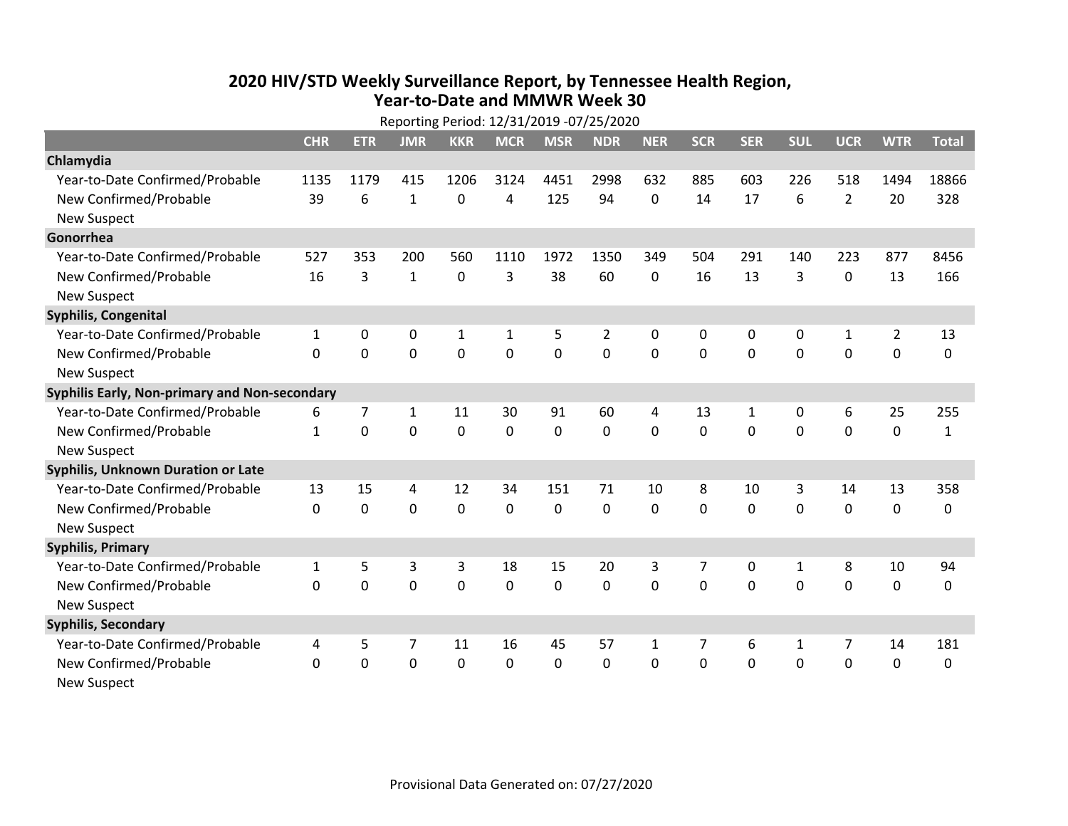## **2020 HIV /STD Weekly Surveillance Report, by Tennessee Health Region, Year‐to‐Date and MMWR Week 30** Reporting Period: 12/31/2019 ‐07/25/2020

|                                               | Reporting Period: 12/31/2019 -07/25/2020 |             |              |              |             |             |                |              |              |            |              |                |                |              |
|-----------------------------------------------|------------------------------------------|-------------|--------------|--------------|-------------|-------------|----------------|--------------|--------------|------------|--------------|----------------|----------------|--------------|
|                                               | <b>CHR</b>                               | <b>ETR</b>  | <b>JMR</b>   | <b>KKR</b>   | <b>MCR</b>  | <b>MSR</b>  | <b>NDR</b>     | <b>NER</b>   | <b>SCR</b>   | <b>SER</b> | <b>SUL</b>   | <b>UCR</b>     | <b>WTR</b>     | <b>Total</b> |
| Chlamydia                                     |                                          |             |              |              |             |             |                |              |              |            |              |                |                |              |
| Year-to-Date Confirmed/Probable               | 1135                                     | 1179        | 415          | 1206         | 3124        | 4451        | 2998           | 632          | 885          | 603        | 226          | 518            | 1494           | 18866        |
| New Confirmed/Probable                        | 39                                       | 6           | $\mathbf{1}$ | 0            | 4           | 125         | 94             | 0            | 14           | 17         | 6            | $\overline{2}$ | 20             | 328          |
| <b>New Suspect</b>                            |                                          |             |              |              |             |             |                |              |              |            |              |                |                |              |
| Gonorrhea                                     |                                          |             |              |              |             |             |                |              |              |            |              |                |                |              |
| Year-to-Date Confirmed/Probable               | 527                                      | 353         | 200          | 560          | 1110        | 1972        | 1350           | 349          | 504          | 291        | 140          | 223            | 877            | 8456         |
| New Confirmed/Probable                        | 16                                       | 3           | $\mathbf{1}$ | 0            | 3           | 38          | 60             | 0            | 16           | 13         | 3            | $\mathbf 0$    | 13             | 166          |
| <b>New Suspect</b>                            |                                          |             |              |              |             |             |                |              |              |            |              |                |                |              |
| <b>Syphilis, Congenital</b>                   |                                          |             |              |              |             |             |                |              |              |            |              |                |                |              |
| Year-to-Date Confirmed/Probable               | $\mathbf{1}$                             | 0           | $\mathbf 0$  | $\mathbf{1}$ | 1           | 5           | $\overline{2}$ | 0            | 0            | 0          | 0            | $\mathbf{1}$   | $\overline{2}$ | 13           |
| New Confirmed/Probable                        | $\mathbf{0}$                             | $\mathbf 0$ | 0            | 0            | $\mathbf 0$ | $\mathbf 0$ | 0              | $\mathbf 0$  | $\mathbf{0}$ | 0          | 0            | 0              | $\mathbf 0$    | 0            |
| <b>New Suspect</b>                            |                                          |             |              |              |             |             |                |              |              |            |              |                |                |              |
| Syphilis Early, Non-primary and Non-secondary |                                          |             |              |              |             |             |                |              |              |            |              |                |                |              |
| Year-to-Date Confirmed/Probable               | 6                                        | 7           | 1            | 11           | 30          | 91          | 60             | 4            | 13           | 1          | 0            | 6              | 25             | 255          |
| New Confirmed/Probable                        | $\mathbf{1}$                             | 0           | $\Omega$     | 0            | $\mathbf 0$ | 0           | $\Omega$       | $\Omega$     | $\Omega$     | $\Omega$   | $\Omega$     | $\Omega$       | $\mathbf 0$    | $\mathbf{1}$ |
| <b>New Suspect</b>                            |                                          |             |              |              |             |             |                |              |              |            |              |                |                |              |
| Syphilis, Unknown Duration or Late            |                                          |             |              |              |             |             |                |              |              |            |              |                |                |              |
| Year-to-Date Confirmed/Probable               | 13                                       | 15          | 4            | 12           | 34          | 151         | 71             | 10           | 8            | 10         | 3            | 14             | 13             | 358          |
| New Confirmed/Probable                        | $\Omega$                                 | $\mathbf 0$ | $\mathbf 0$  | 0            | $\mathbf 0$ | $\mathbf 0$ | $\Omega$       | $\Omega$     | $\Omega$     | $\Omega$   | $\Omega$     | 0              | $\mathbf 0$    | 0            |
| <b>New Suspect</b>                            |                                          |             |              |              |             |             |                |              |              |            |              |                |                |              |
| <b>Syphilis, Primary</b>                      |                                          |             |              |              |             |             |                |              |              |            |              |                |                |              |
| Year-to-Date Confirmed/Probable               | $\mathbf{1}$                             | 5           | 3            | 3            | 18          | 15          | 20             | 3            | 7            | 0          | $\mathbf{1}$ | 8              | 10             | 94           |
| New Confirmed/Probable                        | $\Omega$                                 | 0           | 0            | 0            | $\mathbf 0$ | 0           | 0              | $\Omega$     | $\Omega$     | $\Omega$   | 0            | $\Omega$       | $\mathbf 0$    | 0            |
| <b>New Suspect</b>                            |                                          |             |              |              |             |             |                |              |              |            |              |                |                |              |
| <b>Syphilis, Secondary</b>                    |                                          |             |              |              |             |             |                |              |              |            |              |                |                |              |
| Year-to-Date Confirmed/Probable               | 4                                        | 5           | 7            | 11           | 16          | 45          | 57             | $\mathbf{1}$ | 7            | 6          | 1            | 7              | 14             | 181          |
| New Confirmed/Probable                        | 0                                        | 0           | 0            | 0            | $\mathbf 0$ | 0           | 0              | $\mathbf 0$  | $\Omega$     | 0          | 0            | 0              | $\mathbf 0$    | 0            |
| <b>New Suspect</b>                            |                                          |             |              |              |             |             |                |              |              |            |              |                |                |              |